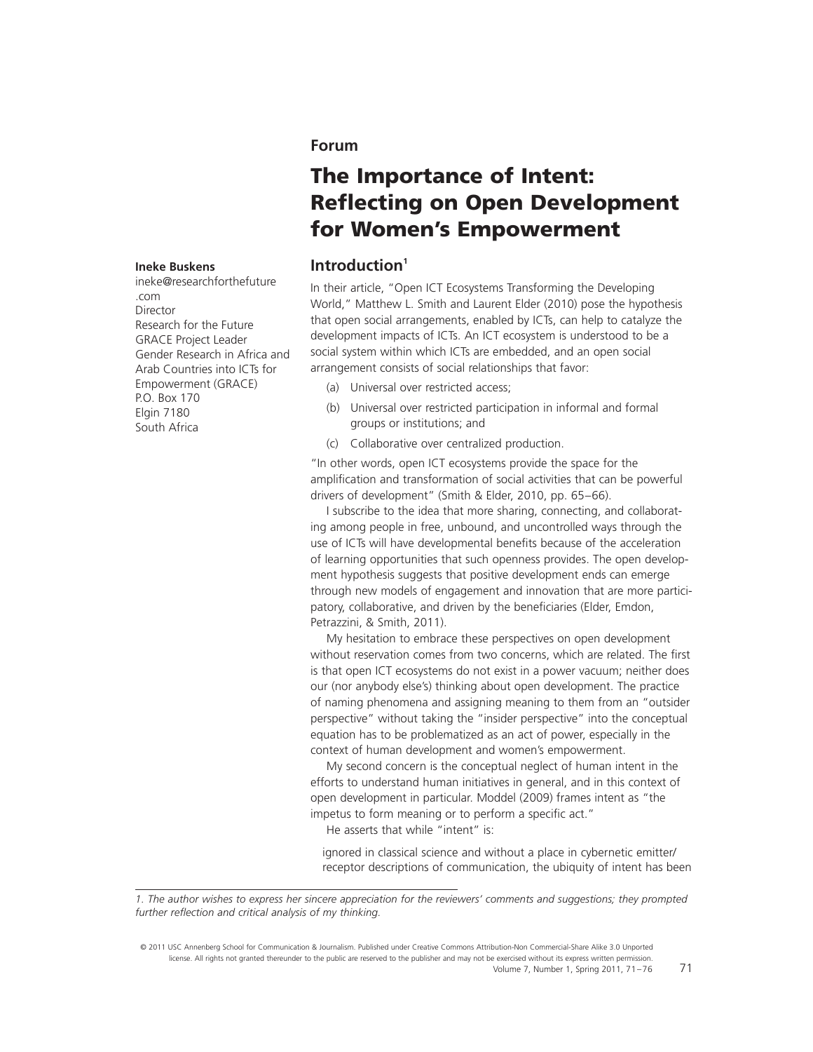## **Forum**

# **The Importance of Intent: Reflecting on Open Development for Women's Empowerment**

## **Introduction1**

In their article, "Open ICT Ecosystems Transforming the Developing World," Matthew L. Smith and Laurent Elder (2010) pose the hypothesis that open social arrangements, enabled by ICTs, can help to catalyze the development impacts of ICTs. An ICT ecosystem is understood to be a social system within which ICTs are embedded, and an open social arrangement consists of social relationships that favor:

- (a) Universal over restricted access;
- (b) Universal over restricted participation in informal and formal groups or institutions; and
- (c) Collaborative over centralized production.

"In other words, open ICT ecosystems provide the space for the amplification and transformation of social activities that can be powerful drivers of development" (Smith & Elder, 2010, pp. 65–66).

I subscribe to the idea that more sharing, connecting, and collaborating among people in free, unbound, and uncontrolled ways through the use of ICTs will have developmental benefits because of the acceleration of learning opportunities that such openness provides. The open development hypothesis suggests that positive development ends can emerge through new models of engagement and innovation that are more participatory, collaborative, and driven by the beneficiaries (Elder, Emdon, Petrazzini, & Smith, 2011).

My hesitation to embrace these perspectives on open development without reservation comes from two concerns, which are related. The first is that open ICT ecosystems do not exist in a power vacuum; neither does our (nor anybody else's) thinking about open development. The practice of naming phenomena and assigning meaning to them from an "outsider perspective" without taking the "insider perspective" into the conceptual equation has to be problematized as an act of power, especially in the context of human development and women's empowerment.

My second concern is the conceptual neglect of human intent in the efforts to understand human initiatives in general, and in this context of open development in particular. Moddel (2009) frames intent as "the impetus to form meaning or to perform a specific act."

He asserts that while "intent" is:

ignored in classical science and without a place in cybernetic emitter/ receptor descriptions of communication, the ubiquity of intent has been

© 2011 USC Annenberg School for Communication & Journalism. Published under Creative Commons Attribution-Non Commercial-Share Alike 3.0 Unported license. All rights not granted thereunder to the public are reserved to the publisher and may not be exercised without its express written permission. Volume 7, Number 1, Spring 2011, 71–76

#### **Ineke Buskens**

ineke@researchforthefuture .com Director Research for the Future GRACE Project Leader Gender Research in Africa and Arab Countries into ICTs for Empowerment (GRACE) P.O. Box 170 Elgin 7180 South Africa

*<sup>1.</sup> The author wishes to express her sincere appreciation for the reviewers' comments and suggestions; they prompted* further reflection and critical analysis of my thinking.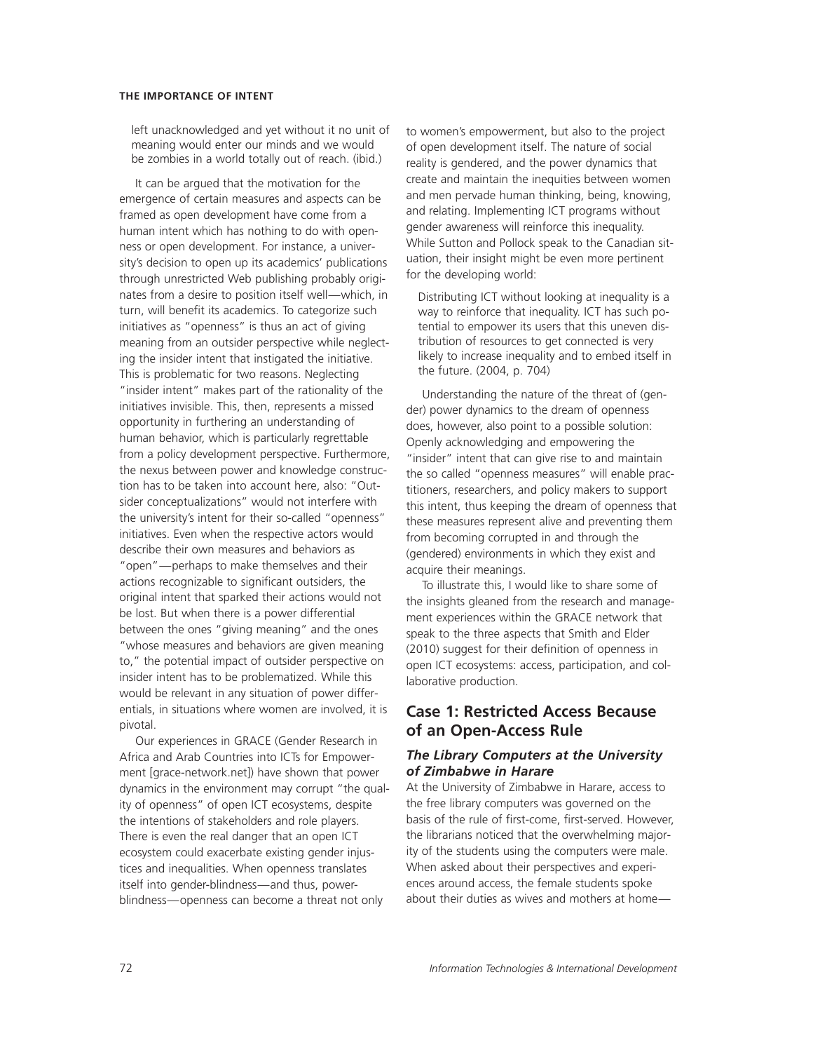#### **THE IMPORTANCE OF INTENT**

left unacknowledged and yet without it no unit of meaning would enter our minds and we would be zombies in a world totally out of reach. (ibid.)

It can be argued that the motivation for the emergence of certain measures and aspects can be framed as open development have come from a human intent which has nothing to do with openness or open development. For instance, a university's decision to open up its academics' publications through unrestricted Web publishing probably originates from a desire to position itself well—which, in turn, will benefit its academics. To categorize such initiatives as "openness" is thus an act of giving meaning from an outsider perspective while neglecting the insider intent that instigated the initiative. This is problematic for two reasons. Neglecting "insider intent" makes part of the rationality of the initiatives invisible. This, then, represents a missed opportunity in furthering an understanding of human behavior, which is particularly regrettable from a policy development perspective. Furthermore, the nexus between power and knowledge construction has to be taken into account here, also: "Outsider conceptualizations" would not interfere with the university's intent for their so-called "openness" initiatives. Even when the respective actors would describe their own measures and behaviors as "open"—perhaps to make themselves and their actions recognizable to significant outsiders, the original intent that sparked their actions would not be lost. But when there is a power differential between the ones "giving meaning" and the ones "whose measures and behaviors are given meaning to," the potential impact of outsider perspective on insider intent has to be problematized. While this would be relevant in any situation of power differentials, in situations where women are involved, it is pivotal.

Our experiences in GRACE (Gender Research in Africa and Arab Countries into ICTs for Empowerment [grace-network.net]) have shown that power dynamics in the environment may corrupt "the quality of openness" of open ICT ecosystems, despite the intentions of stakeholders and role players. There is even the real danger that an open ICT ecosystem could exacerbate existing gender injustices and inequalities. When openness translates itself into gender-blindness—and thus, powerblindness—openness can become a threat not only

to women's empowerment, but also to the project of open development itself. The nature of social reality is gendered, and the power dynamics that create and maintain the inequities between women and men pervade human thinking, being, knowing, and relating. Implementing ICT programs without gender awareness will reinforce this inequality. While Sutton and Pollock speak to the Canadian situation, their insight might be even more pertinent for the developing world:

Distributing ICT without looking at inequality is a way to reinforce that inequality. ICT has such potential to empower its users that this uneven distribution of resources to get connected is very likely to increase inequality and to embed itself in the future. (2004, p. 704)

Understanding the nature of the threat of (gender) power dynamics to the dream of openness does, however, also point to a possible solution: Openly acknowledging and empowering the "insider" intent that can give rise to and maintain the so called "openness measures" will enable practitioners, researchers, and policy makers to support this intent, thus keeping the dream of openness that these measures represent alive and preventing them from becoming corrupted in and through the (gendered) environments in which they exist and acquire their meanings.

To illustrate this, I would like to share some of the insights gleaned from the research and management experiences within the GRACE network that speak to the three aspects that Smith and Elder (2010) suggest for their definition of openness in open ICT ecosystems: access, participation, and collaborative production.

## **Case 1: Restricted Access Because of an Open-Access Rule**

## *The Library Computers at the University of Zimbabwe in Harare*

At the University of Zimbabwe in Harare, access to the free library computers was governed on the basis of the rule of first-come, first-served. However, the librarians noticed that the overwhelming majority of the students using the computers were male. When asked about their perspectives and experiences around access, the female students spoke about their duties as wives and mothers at home—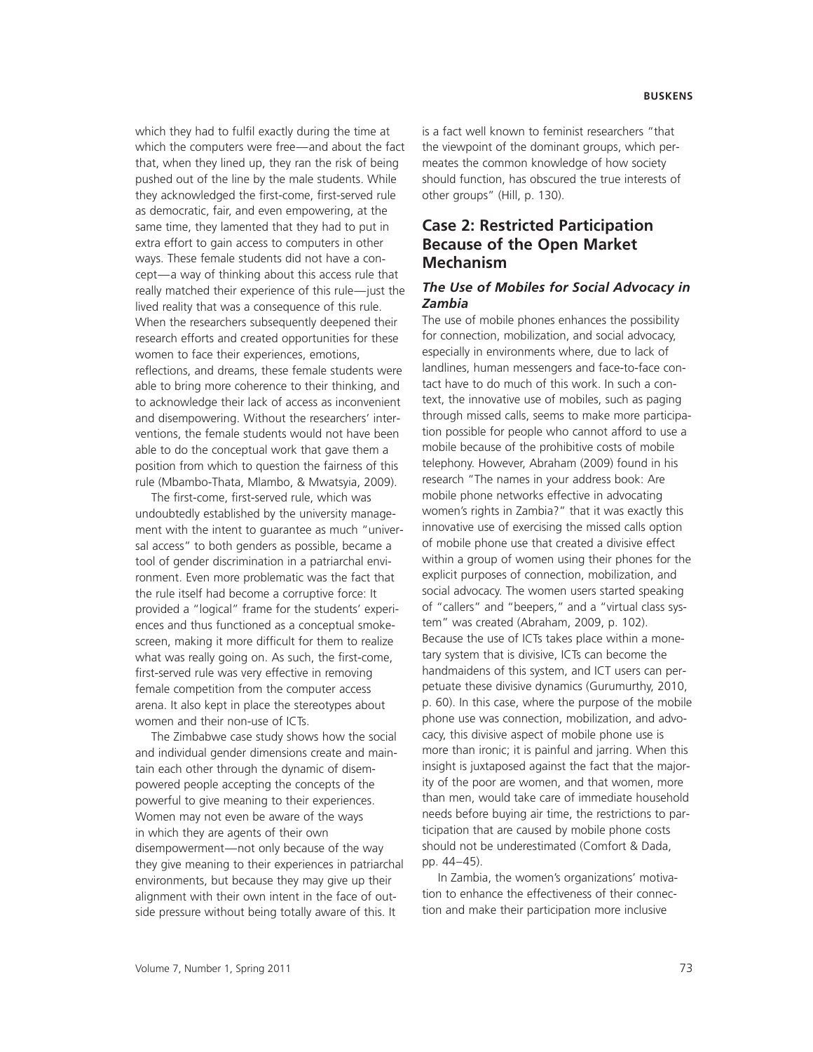which they had to fulfil exactly during the time at which the computers were free—and about the fact that, when they lined up, they ran the risk of being pushed out of the line by the male students. While they acknowledged the first-come, first-served rule as democratic, fair, and even empowering, at the same time, they lamented that they had to put in extra effort to gain access to computers in other ways. These female students did not have a concept—a way of thinking about this access rule that really matched their experience of this rule—just the lived reality that was a consequence of this rule. When the researchers subsequently deepened their research efforts and created opportunities for these women to face their experiences, emotions, reflections, and dreams, these female students were able to bring more coherence to their thinking, and to acknowledge their lack of access as inconvenient and disempowering. Without the researchers' interventions, the female students would not have been able to do the conceptual work that gave them a position from which to question the fairness of this rule (Mbambo-Thata, Mlambo, & Mwatsyia, 2009).

The first-come, first-served rule, which was undoubtedly established by the university management with the intent to guarantee as much "universal access" to both genders as possible, became a tool of gender discrimination in a patriarchal environment. Even more problematic was the fact that the rule itself had become a corruptive force: It provided a "logical" frame for the students' experiences and thus functioned as a conceptual smokescreen, making it more difficult for them to realize what was really going on. As such, the first-come, first-served rule was very effective in removing female competition from the computer access arena. It also kept in place the stereotypes about women and their non-use of ICTs.

The Zimbabwe case study shows how the social and individual gender dimensions create and maintain each other through the dynamic of disempowered people accepting the concepts of the powerful to give meaning to their experiences. Women may not even be aware of the ways in which they are agents of their own disempowerment—not only because of the way they give meaning to their experiences in patriarchal environments, but because they may give up their alignment with their own intent in the face of outside pressure without being totally aware of this. It

is a fact well known to feminist researchers "that the viewpoint of the dominant groups, which permeates the common knowledge of how society should function, has obscured the true interests of other groups" (Hill, p. 130).

# **Case 2: Restricted Participation Because of the Open Market Mechanism**

### *The Use of Mobiles for Social Advocacy in Zambia*

The use of mobile phones enhances the possibility for connection, mobilization, and social advocacy, especially in environments where, due to lack of landlines, human messengers and face-to-face contact have to do much of this work. In such a context, the innovative use of mobiles, such as paging through missed calls, seems to make more participation possible for people who cannot afford to use a mobile because of the prohibitive costs of mobile telephony. However, Abraham (2009) found in his research "The names in your address book: Are mobile phone networks effective in advocating women's rights in Zambia?" that it was exactly this innovative use of exercising the missed calls option of mobile phone use that created a divisive effect within a group of women using their phones for the explicit purposes of connection, mobilization, and social advocacy. The women users started speaking of "callers" and "beepers," and a "virtual class system" was created (Abraham, 2009, p. 102). Because the use of ICTs takes place within a monetary system that is divisive, ICTs can become the handmaidens of this system, and ICT users can perpetuate these divisive dynamics (Gurumurthy, 2010, p. 60). In this case, where the purpose of the mobile phone use was connection, mobilization, and advocacy, this divisive aspect of mobile phone use is more than ironic; it is painful and jarring. When this insight is juxtaposed against the fact that the majority of the poor are women, and that women, more than men, would take care of immediate household needs before buying air time, the restrictions to participation that are caused by mobile phone costs should not be underestimated (Comfort & Dada, pp. 44–45).

In Zambia, the women's organizations' motivation to enhance the effectiveness of their connection and make their participation more inclusive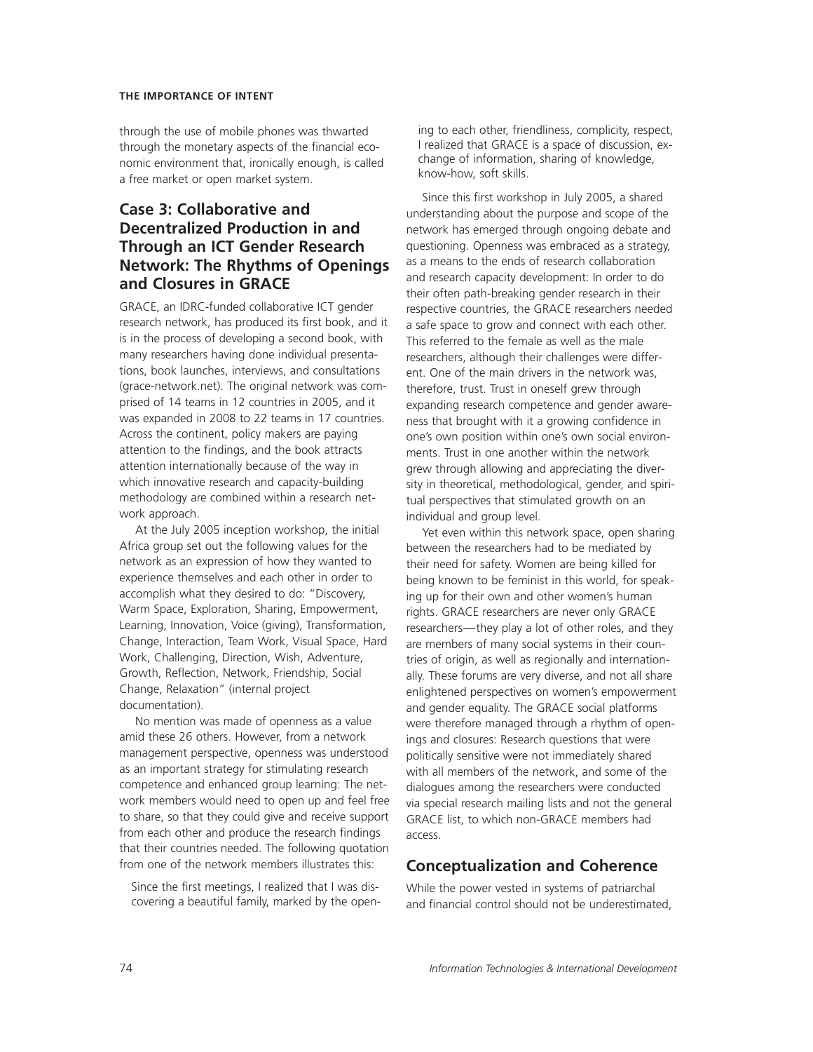#### **THE IMPORTANCE OF INTENT**

through the use of mobile phones was thwarted through the monetary aspects of the financial economic environment that, ironically enough, is called a free market or open market system.

# **Case 3: Collaborative and Decentralized Production in and Through an ICT Gender Research Network: The Rhythms of Openings and Closures in GRACE**

GRACE, an IDRC-funded collaborative ICT gender research network, has produced its first book, and it is in the process of developing a second book, with many researchers having done individual presentations, book launches, interviews, and consultations (grace-network.net). The original network was comprised of 14 teams in 12 countries in 2005, and it was expanded in 2008 to 22 teams in 17 countries. Across the continent, policy makers are paying attention to the findings, and the book attracts attention internationally because of the way in which innovative research and capacity-building methodology are combined within a research network approach.

At the July 2005 inception workshop, the initial Africa group set out the following values for the network as an expression of how they wanted to experience themselves and each other in order to accomplish what they desired to do: "Discovery, Warm Space, Exploration, Sharing, Empowerment, Learning, Innovation, Voice (giving), Transformation, Change, Interaction, Team Work, Visual Space, Hard Work, Challenging, Direction, Wish, Adventure, Growth, Reflection, Network, Friendship, Social Change, Relaxation" (internal project documentation).

No mention was made of openness as a value amid these 26 others. However, from a network management perspective, openness was understood as an important strategy for stimulating research competence and enhanced group learning: The network members would need to open up and feel free to share, so that they could give and receive support from each other and produce the research findings that their countries needed. The following quotation from one of the network members illustrates this:

Since the first meetings, I realized that I was discovering a beautiful family, marked by the opening to each other, friendliness, complicity, respect, I realized that GRACE is a space of discussion, exchange of information, sharing of knowledge, know-how, soft skills.

Since this first workshop in July 2005, a shared understanding about the purpose and scope of the network has emerged through ongoing debate and questioning. Openness was embraced as a strategy, as a means to the ends of research collaboration and research capacity development: In order to do their often path-breaking gender research in their respective countries, the GRACE researchers needed a safe space to grow and connect with each other. This referred to the female as well as the male researchers, although their challenges were different. One of the main drivers in the network was, therefore, trust. Trust in oneself grew through expanding research competence and gender awareness that brought with it a growing confidence in one's own position within one's own social environments. Trust in one another within the network grew through allowing and appreciating the diversity in theoretical, methodological, gender, and spiritual perspectives that stimulated growth on an individual and group level.

Yet even within this network space, open sharing between the researchers had to be mediated by their need for safety. Women are being killed for being known to be feminist in this world, for speaking up for their own and other women's human rights. GRACE researchers are never only GRACE researchers—they play a lot of other roles, and they are members of many social systems in their countries of origin, as well as regionally and internationally. These forums are very diverse, and not all share enlightened perspectives on women's empowerment and gender equality. The GRACE social platforms were therefore managed through a rhythm of openings and closures: Research questions that were politically sensitive were not immediately shared with all members of the network, and some of the dialogues among the researchers were conducted via special research mailing lists and not the general GRACE list, to which non-GRACE members had access.

## **Conceptualization and Coherence**

While the power vested in systems of patriarchal and financial control should not be underestimated.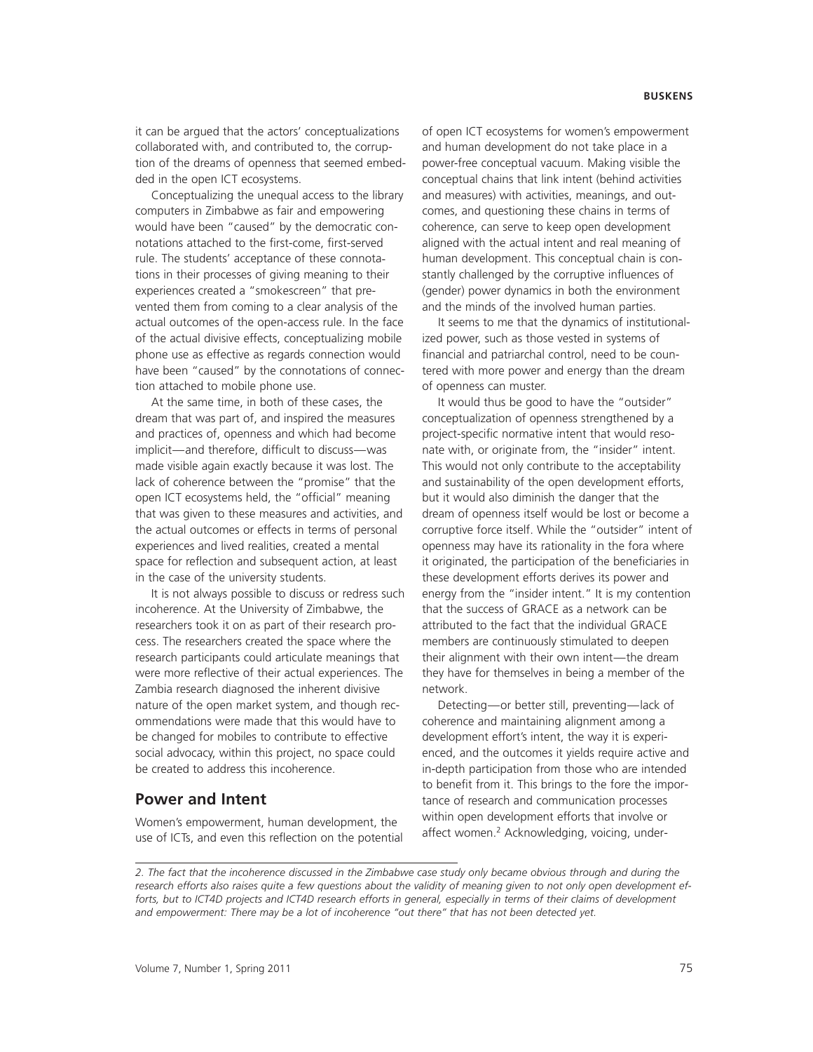it can be argued that the actors' conceptualizations collaborated with, and contributed to, the corruption of the dreams of openness that seemed embedded in the open ICT ecosystems.

Conceptualizing the unequal access to the library computers in Zimbabwe as fair and empowering would have been "caused" by the democratic connotations attached to the first-come, first-served rule. The students' acceptance of these connotations in their processes of giving meaning to their experiences created a "smokescreen" that prevented them from coming to a clear analysis of the actual outcomes of the open-access rule. In the face of the actual divisive effects, conceptualizing mobile phone use as effective as regards connection would have been "caused" by the connotations of connection attached to mobile phone use.

At the same time, in both of these cases, the dream that was part of, and inspired the measures and practices of, openness and which had become implicit—and therefore, difficult to discuss—was made visible again exactly because it was lost. The lack of coherence between the "promise" that the open ICT ecosystems held, the "official" meaning that was given to these measures and activities, and the actual outcomes or effects in terms of personal experiences and lived realities, created a mental space for reflection and subsequent action, at least in the case of the university students.

It is not always possible to discuss or redress such incoherence. At the University of Zimbabwe, the researchers took it on as part of their research process. The researchers created the space where the research participants could articulate meanings that were more reflective of their actual experiences. The Zambia research diagnosed the inherent divisive nature of the open market system, and though recommendations were made that this would have to be changed for mobiles to contribute to effective social advocacy, within this project, no space could be created to address this incoherence.

## **Power and Intent**

Women's empowerment, human development, the use of ICTs, and even this reflection on the potential

of open ICT ecosystems for women's empowerment and human development do not take place in a power-free conceptual vacuum. Making visible the conceptual chains that link intent (behind activities and measures) with activities, meanings, and outcomes, and questioning these chains in terms of coherence, can serve to keep open development aligned with the actual intent and real meaning of human development. This conceptual chain is constantly challenged by the corruptive influences of (gender) power dynamics in both the environment and the minds of the involved human parties.

It seems to me that the dynamics of institutionalized power, such as those vested in systems of financial and patriarchal control, need to be countered with more power and energy than the dream of openness can muster.

It would thus be good to have the "outsider" conceptualization of openness strengthened by a project-specific normative intent that would resonate with, or originate from, the "insider" intent. This would not only contribute to the acceptability and sustainability of the open development efforts, but it would also diminish the danger that the dream of openness itself would be lost or become a corruptive force itself. While the "outsider" intent of openness may have its rationality in the fora where it originated, the participation of the beneficiaries in these development efforts derives its power and energy from the "insider intent." It is my contention that the success of GRACE as a network can be attributed to the fact that the individual GRACE members are continuously stimulated to deepen their alignment with their own intent—the dream they have for themselves in being a member of the network.

Detecting—or better still, preventing—lack of coherence and maintaining alignment among a development effort's intent, the way it is experienced, and the outcomes it yields require active and in-depth participation from those who are intended to benefit from it. This brings to the fore the importance of research and communication processes within open development efforts that involve or affect women.<sup>2</sup> Acknowledging, voicing, under-

*<sup>2.</sup> The fact that the incoherence discussed in the Zimbabwe case study only became obvious through and during the research efforts also raises quite a few questions about the validity of meaning given to not only open development efforts, but to ICT4D projects and ICT4D research efforts in general, especially in terms of their claims of development and empowerment: There may be a lot of incoherence "out there" that has not been detected yet.*